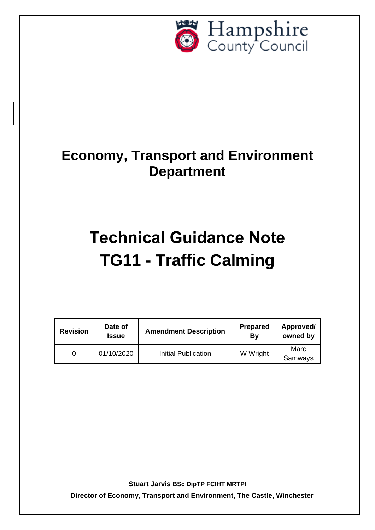

# **Economy, Transport and Environment Department**

# **Technical Guidance Note TG11 - Traffic Calming**

| <b>Revision</b> | Date of<br><b>Issue</b> | <b>Amendment Description</b> | <b>Prepared</b><br>By | Approved/<br>owned by |
|-----------------|-------------------------|------------------------------|-----------------------|-----------------------|
|                 | 01/10/2020              | Initial Publication          | W Wright              | Marc<br>Samways       |

**Stuart Jarvis BSc DipTP FCIHT MRTPI**

**Director of Economy, Transport and Environment, The Castle, Winchester**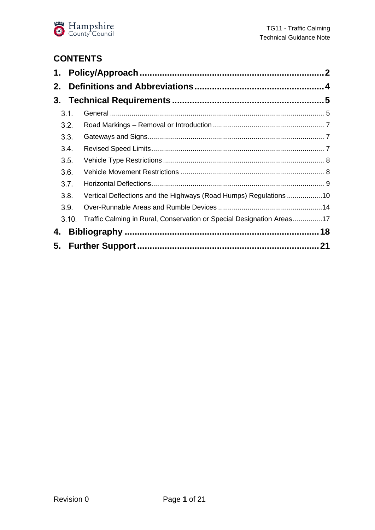

# **CONTENTS**

| 2.    |                                                                       |  |
|-------|-----------------------------------------------------------------------|--|
|       |                                                                       |  |
| 3.1.  |                                                                       |  |
| 3.2.  |                                                                       |  |
| 3.3.  |                                                                       |  |
| 3.4.  |                                                                       |  |
| 3.5.  |                                                                       |  |
| 3.6.  |                                                                       |  |
| 3.7.  |                                                                       |  |
| 3.8.  | Vertical Deflections and the Highways (Road Humps) Regulations 10     |  |
| 3.9.  |                                                                       |  |
| 3.10. | Traffic Calming in Rural, Conservation or Special Designation Areas17 |  |
| 4.    |                                                                       |  |
|       |                                                                       |  |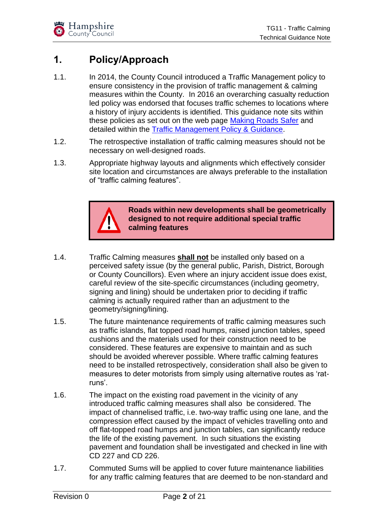# <span id="page-2-0"></span>**1. Policy/Approach**

- 1.1. In 2014, the County Council introduced a Traffic Management policy to ensure consistency in the provision of traffic management & calming measures within the County. In 2016 an overarching casualty reduction led policy was endorsed that focuses traffic schemes to locations where a history of injury accidents is identified. This guidance note sits within these policies as set out on the web page [Making Roads Safer](https://www.hants.gov.uk/transport/roadsafety/makingroadssafer) and detailed within the [Traffic Management Policy & Guidance.](http://documents.hants.gov.uk/road-safety/TrafficManagementPolicyGuidanceJanuary2014.pdf)
- 1.2. The retrospective installation of traffic calming measures should not be necessary on well-designed roads.
- 1.3. Appropriate highway layouts and alignments which effectively consider site location and circumstances are always preferable to the installation of "traffic calming features".



**Roads within new developments shall be geometrically designed to not require additional special traffic calming features**

- 1.4. Traffic Calming measures **shall not** be installed only based on a perceived safety issue (by the general public, Parish, District, Borough or County Councillors). Even where an injury accident issue does exist, careful review of the site-specific circumstances (including geometry, signing and lining) should be undertaken prior to deciding if traffic calming is actually required rather than an adjustment to the geometry/signing/lining.
- 1.5. The future maintenance requirements of traffic calming measures such as traffic islands, flat topped road humps, raised junction tables, speed cushions and the materials used for their construction need to be considered. These features are expensive to maintain and as such should be avoided wherever possible. Where traffic calming features need to be installed retrospectively, consideration shall also be given to measures to deter motorists from simply using alternative routes as 'ratruns'.
- 1.6. The impact on the existing road pavement in the vicinity of any introduced traffic calming measures shall also be considered. The impact of channelised traffic, i.e. two-way traffic using one lane, and the compression effect caused by the impact of vehicles travelling onto and off flat-topped road humps and junction tables, can significantly reduce the life of the existing pavement. In such situations the existing pavement and foundation shall be investigated and checked in line with CD 227 and CD 226.
- 1.7. Commuted Sums will be applied to cover future maintenance liabilities for any traffic calming features that are deemed to be non-standard and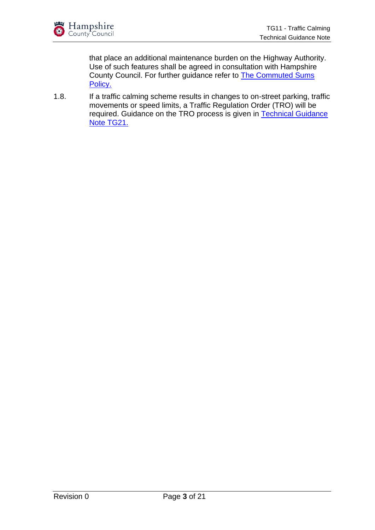that place an additional maintenance burden on the Highway Authority. Use of such features shall be agreed in consultation with Hampshire County Council. For further guidance refer to [The Commuted Sums](https://www.hants.gov.uk/transport/developers/commuted-sums)  [Policy.](https://www.hants.gov.uk/transport/developers/commuted-sums)

1.8. If a traffic calming scheme results in changes to on-street parking, traffic movements or speed limits, a Traffic Regulation Order (TRO) will be required. Guidance on the TRO process is given in [Technical Guidance](https://www.hants.gov.uk/transport/developers/technical-guidance)  [Note TG21.](https://www.hants.gov.uk/transport/developers/technical-guidance)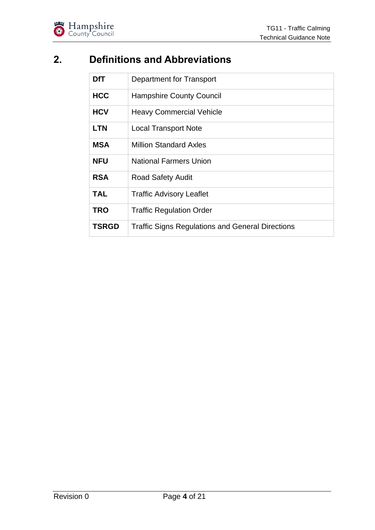

# <span id="page-4-0"></span>**2. Definitions and Abbreviations**

| <b>DfT</b>   | Department for Transport                                |  |
|--------------|---------------------------------------------------------|--|
| <b>HCC</b>   | <b>Hampshire County Council</b>                         |  |
| <b>HCV</b>   | <b>Heavy Commercial Vehicle</b>                         |  |
| <b>LTN</b>   | <b>Local Transport Note</b>                             |  |
| <b>MSA</b>   | <b>Million Standard Axles</b>                           |  |
| <b>NFU</b>   | <b>National Farmers Union</b>                           |  |
| <b>RSA</b>   | <b>Road Safety Audit</b>                                |  |
| <b>TAL</b>   | <b>Traffic Advisory Leaflet</b>                         |  |
| <b>TRO</b>   | <b>Traffic Regulation Order</b>                         |  |
| <b>TSRGD</b> | <b>Traffic Signs Regulations and General Directions</b> |  |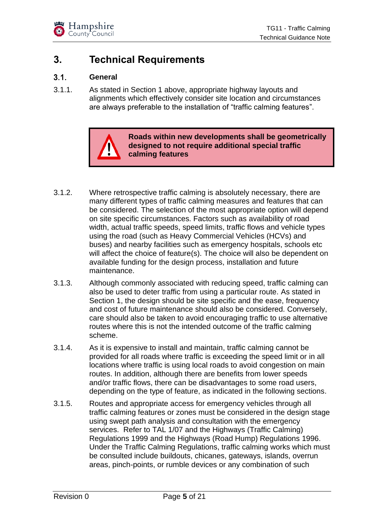

# <span id="page-5-0"></span>**3. Technical Requirements**

#### <span id="page-5-1"></span> $3.1.$ **General**

3.1.1. As stated in Section 1 above, appropriate highway layouts and alignments which effectively consider site location and circumstances are always preferable to the installation of "traffic calming features".



**Roads within new developments shall be geometrically designed to not require additional special traffic calming features**

- 3.1.2. Where retrospective traffic calming is absolutely necessary, there are many different types of traffic calming measures and features that can be considered. The selection of the most appropriate option will depend on site specific circumstances. Factors such as availability of road width, actual traffic speeds, speed limits, traffic flows and vehicle types using the road (such as Heavy Commercial Vehicles (HCVs) and buses) and nearby facilities such as emergency hospitals, schools etc will affect the choice of feature(s). The choice will also be dependent on available funding for the design process, installation and future maintenance.
- 3.1.3. Although commonly associated with reducing speed, traffic calming can also be used to deter traffic from using a particular route. As stated in Section 1, the design should be site specific and the ease, frequency and cost of future maintenance should also be considered. Conversely, care should also be taken to avoid encouraging traffic to use alternative routes where this is not the intended outcome of the traffic calming scheme.
- 3.1.4. As it is expensive to install and maintain, traffic calming cannot be provided for all roads where traffic is exceeding the speed limit or in all locations where traffic is using local roads to avoid congestion on main routes. In addition, although there are benefits from lower speeds and/or traffic flows, there can be disadvantages to some road users, depending on the type of feature, as indicated in the following sections.
- 3.1.5. Routes and appropriate access for emergency vehicles through all traffic calming features or zones must be considered in the design stage using swept path analysis and consultation with the emergency services. Refer to TAL 1/07 and the Highways (Traffic Calming) Regulations 1999 and the Highways (Road Hump) Regulations 1996. Under the Traffic Calming Regulations, traffic calming works which must be consulted include buildouts, chicanes, gateways, islands, overrun areas, pinch-points, or rumble devices or any combination of such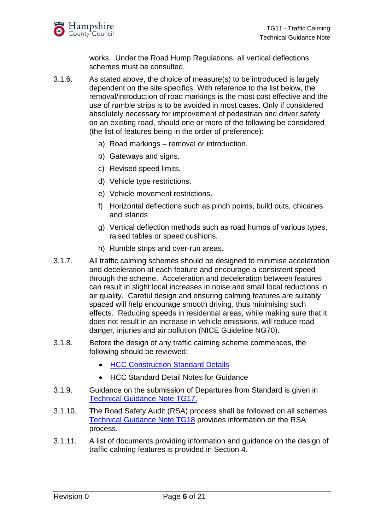

works. Under the Road Hump Regulations, all vertical deflections schemes must be consulted.

- 3.1.6. As stated above, the choice of measure(s) to be introduced is largely dependent on the site specifics. With reference to the list below, the removal/introduction of road markings is the most cost effective and the use of rumble strips is to be avoided in most cases. Only if considered absolutely necessary for improvement of pedestrian and driver safety on an existing road, should one or more of the following be considered (the list of features being in the order of preference):
	- a) Road markings removal or introduction.
	- b) Gateways and signs.
	- c) Revised speed limits.
	- d) Vehicle type restrictions.
	- e) Vehicle movement restrictions.
	- f) Horizontal deflections such as pinch points, build outs, chicanes and islands
	- g) Vertical deflection methods such as road humps of various types, raised tables or speed cushions.
	- h) Rumble strips and over-run areas.
- 3.1.7. All traffic calming schemes should be designed to minimise acceleration and deceleration at each feature and encourage a consistent speed through the scheme. Acceleration and deceleration between features can result in slight local increases in noise and small local reductions in air quality. Careful design and ensuring calming features are suitably spaced will help encourage smooth driving, thus minimising such effects. Reducing speeds in residential areas, while making sure that it does not result in an increase in vehicle emissions, will reduce road danger, injuries and air pollution (NICE Guideline NG70).
- 3.1.8. Before the design of any traffic calming scheme commences, the following should be reviewed:
	- **[HCC Construction Standard Details](https://www.hants.gov.uk/transport/developers/standard-details)**
	- HCC Standard Detail Notes for Guidance
- 3.1.9. Guidance on the submission of Departures from Standard is given in [Technical Guidance Note](https://www.hants.gov.uk/transport/developers/technical-guidance) TG17.
- 3.1.10. The Road Safety Audit (RSA) process shall be followed on all schemes. [Technical Guidance Note TG18](https://www.hants.gov.uk/transport/developers/technical-guidance) provides information on the RSA process.
- 3.1.11. A list of documents providing information and guidance on the design of traffic calming features is provided in Section 4.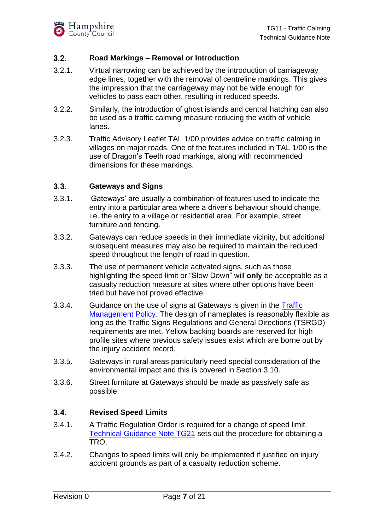#### <span id="page-7-0"></span> $3.2.$ **Road Markings – Removal or Introduction**

- 3.2.1. Virtual narrowing can be achieved by the introduction of carriageway edge lines, together with the removal of centreline markings. This gives the impression that the carriageway may not be wide enough for vehicles to pass each other, resulting in reduced speeds.
- 3.2.2. Similarly, the introduction of ghost islands and central hatching can also be used as a traffic calming measure reducing the width of vehicle lanes.
- 3.2.3. Traffic Advisory Leaflet TAL 1/00 provides advice on traffic calming in villages on major roads. One of the features included in TAL 1/00 is the use of Dragon's Teeth road markings, along with recommended dimensions for these markings.

#### <span id="page-7-1"></span> $3.3.$ **Gateways and Signs**

- 3.3.1. 'Gateways' are usually a combination of features used to indicate the entry into a particular area where a driver's behaviour should change, i.e. the entry to a village or residential area. For example, street furniture and fencing.
- 3.3.2. Gateways can reduce speeds in their immediate vicinity, but additional subsequent measures may also be required to maintain the reduced speed throughout the length of road in question.
- 3.3.3. The use of permanent vehicle activated signs, such as those highlighting the speed limit or "Slow Down" will **only** be acceptable as a casualty reduction measure at sites where other options have been tried but have not proved effective.
- 3.3.4. Guidance on the use of signs at Gateways is given in the Traffic [Management Policy.](http://documents.hants.gov.uk/road-safety/TrafficManagementPolicyGuidanceJanuary2014.pdf) The design of nameplates is reasonably flexible as long as the Traffic Signs Regulations and General Directions (TSRGD) requirements are met. Yellow backing boards are reserved for high profile sites where previous safety issues exist which are borne out by the injury accident record.
- 3.3.5. Gateways in rural areas particularly need special consideration of the environmental impact and this is covered in Section 3.10.
- 3.3.6. Street furniture at Gateways should be made as passively safe as possible.

#### <span id="page-7-2"></span> $3.4.$ **Revised Speed Limits**

- 3.4.1. A Traffic Regulation Order is required for a change of speed limit. [Technical Guidance Note TG21](https://www.hants.gov.uk/transport/developers/technical-guidance) sets out the procedure for obtaining a TRO.
- 3.4.2. Changes to speed limits will only be implemented if justified on injury accident grounds as part of a casualty reduction scheme.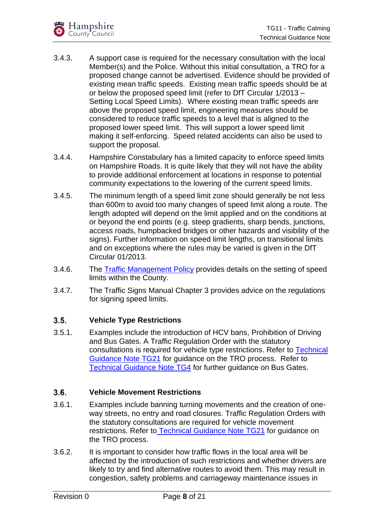

- 3.4.3. A support case is required for the necessary consultation with the local Member(s) and the Police. Without this initial consultation, a TRO for a proposed change cannot be advertised. Evidence should be provided of existing mean traffic speeds. Existing mean traffic speeds should be at or below the proposed speed limit (refer to DfT Circular 1/2013 – Setting Local Speed Limits). Where existing mean traffic speeds are above the proposed speed limit, engineering measures should be considered to reduce traffic speeds to a level that is aligned to the proposed lower speed limit. This will support a lower speed limit making it self-enforcing. Speed related accidents can also be used to support the proposal.
- 3.4.4. Hampshire Constabulary has a limited capacity to enforce speed limits on Hampshire Roads. It is quite likely that they will not have the ability to provide additional enforcement at locations in response to potential community expectations to the lowering of the current speed limits.
- 3.4.5. The minimum length of a speed limit zone should generally be not less than 600m to avoid too many changes of speed limit along a route. The length adopted will depend on the limit applied and on the conditions at or beyond the end points (e.g. steep gradients, sharp bends, junctions, access roads, humpbacked bridges or other hazards and visibility of the signs). Further information on speed limit lengths, on transitional limits and on exceptions where the rules may be varied is given in the DfT Circular 01/2013.
- 3.4.6. The [Traffic Management Policy](http://documents.hants.gov.uk/road-safety/TrafficManagementPolicyGuidanceJanuary2014.pdf) provides details on the setting of speed limits within the County.
- 3.4.7. The Traffic Signs Manual Chapter 3 provides advice on the regulations for signing speed limits.

### <span id="page-8-0"></span> $3.5.$ **Vehicle Type Restrictions**

3.5.1. Examples include the introduction of HCV bans, Prohibition of Driving and Bus Gates. A Traffic Regulation Order with the statutory consultations is required for vehicle type restrictions. Refer to [Technical](https://www.hants.gov.uk/transport/developers/technical-guidance)  [Guidance Note TG21](https://www.hants.gov.uk/transport/developers/technical-guidance) for guidance on the TRO process. Refer to [Technical Guidance Note TG4](https://www.hants.gov.uk/transport/developers/technical-guidance) for further guidance on Bus Gates.

### <span id="page-8-1"></span> $3.6.$ **Vehicle Movement Restrictions**

- 3.6.1. Examples include banning turning movements and the creation of oneway streets, no entry and road closures. Traffic Regulation Orders with the statutory consultations are required for vehicle movement restrictions. Refer to [Technical Guidance Note TG21](https://www.hants.gov.uk/transport/developers/technical-guidance) for guidance on the TRO process.
- 3.6.2. It is important to consider how traffic flows in the local area will be affected by the introduction of such restrictions and whether drivers are likely to try and find alternative routes to avoid them. This may result in congestion, safety problems and carriageway maintenance issues in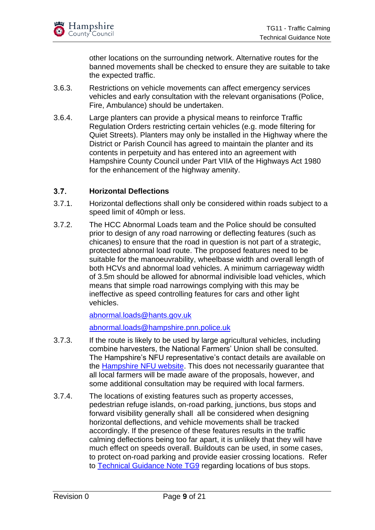other locations on the surrounding network. Alternative routes for the banned movements shall be checked to ensure they are suitable to take the expected traffic.

- 3.6.3. Restrictions on vehicle movements can affect emergency services vehicles and early consultation with the relevant organisations (Police, Fire, Ambulance) should be undertaken.
- 3.6.4. Large planters can provide a physical means to reinforce Traffic Regulation Orders restricting certain vehicles (e.g. mode filtering for Quiet Streets). Planters may only be installed in the Highway where the District or Parish Council has agreed to maintain the planter and its contents in perpetuity and has entered into an agreement with Hampshire County Council under Part VIIA of the Highways Act 1980 for the enhancement of the highway amenity.

#### <span id="page-9-0"></span> $3.7<sub>2</sub>$ **Horizontal Deflections**

- 3.7.1. Horizontal deflections shall only be considered within roads subject to a speed limit of 40mph or less.
- 3.7.2. The HCC Abnormal Loads team and the Police should be consulted prior to design of any road narrowing or deflecting features (such as chicanes) to ensure that the road in question is not part of a strategic, protected abnormal load route. The proposed features need to be suitable for the manoeuvrability, wheelbase width and overall length of both HCVs and abnormal load vehicles. A minimum carriageway width of 3.5m should be allowed for abnormal indivisible load vehicles, which means that simple road narrowings complying with this may be ineffective as speed controlling features for cars and other light vehicles.

[abnormal.loads@hants.gov.uk](mailto:abnormal.loads@hants.gov.uk)

[abnormal.loads@hampshire.pnn.police.uk](mailto:abnormal.loads@hampshire.pnn.police.uk)

- 3.7.3. If the route is likely to be used by large agricultural vehicles, including combine harvesters, the National Farmers' Union shall be consulted. The Hampshire's NFU representative's contact details are available on the **Hampshire NFU website**. This does not necessarily guarantee that all local farmers will be made aware of the proposals, however, and some additional consultation may be required with local farmers.
- 3.7.4. The locations of existing features such as property accesses, pedestrian refuge islands, on-road parking, junctions, bus stops and forward visibility generally shall all be considered when designing horizontal deflections, and vehicle movements shall be tracked accordingly. If the presence of these features results in the traffic calming deflections being too far apart, it is unlikely that they will have much effect on speeds overall. Buildouts can be used, in some cases, to protect on-road parking and provide easier crossing locations. Refer to [Technical Guidance Note TG9](https://www.hants.gov.uk/transport/developers/technical-guidance) regarding locations of bus stops.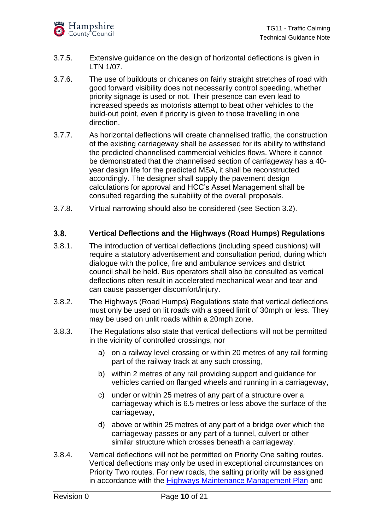- 3.7.5. Extensive guidance on the design of horizontal deflections is given in LTN 1/07.
- 3.7.6. The use of buildouts or chicanes on fairly straight stretches of road with good forward visibility does not necessarily control speeding, whether priority signage is used or not. Their presence can even lead to increased speeds as motorists attempt to beat other vehicles to the build-out point, even if priority is given to those travelling in one direction.
- 3.7.7. As horizontal deflections will create channelised traffic, the construction of the existing carriageway shall be assessed for its ability to withstand the predicted channelised commercial vehicles flows. Where it cannot be demonstrated that the channelised section of carriageway has a 40 year design life for the predicted MSA, it shall be reconstructed accordingly. The designer shall supply the pavement design calculations for approval and HCC's Asset Management shall be consulted regarding the suitability of the overall proposals.
- 3.7.8. Virtual narrowing should also be considered (see Section 3.2).

### <span id="page-10-0"></span> $3.8.$ **Vertical Deflections and the Highways (Road Humps) Regulations**

- 3.8.1. The introduction of vertical deflections (including speed cushions) will require a statutory advertisement and consultation period, during which dialogue with the police, fire and ambulance services and district council shall be held. Bus operators shall also be consulted as vertical deflections often result in accelerated mechanical wear and tear and can cause passenger discomfort/injury.
- 3.8.2. The Highways (Road Humps) Regulations state that vertical deflections must only be used on lit roads with a speed limit of 30mph or less. They may be used on unlit roads within a 20mph zone.
- 3.8.3. The Regulations also state that vertical deflections will not be permitted in the vicinity of controlled crossings, nor
	- a) on a railway level crossing or within 20 metres of any rail forming part of the railway track at any such crossing,
	- b) within 2 metres of any rail providing support and guidance for vehicles carried on flanged wheels and running in a carriageway,
	- c) under or within 25 metres of any part of a structure over a carriageway which is 6.5 metres or less above the surface of the carriageway,
	- d) above or within 25 metres of any part of a bridge over which the carriageway passes or any part of a tunnel, culvert or other similar structure which crosses beneath a carriageway.
- 3.8.4. Vertical deflections will not be permitted on Priority One salting routes. Vertical deflections may only be used in exceptional circumstances on Priority Two routes. For new roads, the salting priority will be assigned in accordance with the **Highways Maintenance Management Plan** and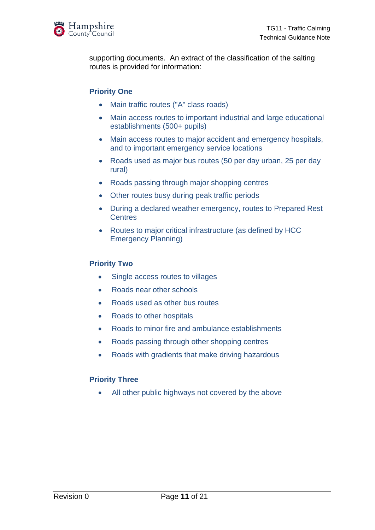

supporting documents. An extract of the classification of the salting routes is provided for information:

### **Priority One**

- Main traffic routes ("A" class roads)
- Main access routes to important industrial and large educational establishments (500+ pupils)
- Main access routes to major accident and emergency hospitals, and to important emergency service locations
- Roads used as major bus routes (50 per day urban, 25 per day rural)
- Roads passing through major shopping centres
- Other routes busy during peak traffic periods
- During a declared weather emergency, routes to Prepared Rest **Centres**
- Routes to major critical infrastructure (as defined by HCC Emergency Planning)

### **Priority Two**

- Single access routes to villages
- Roads near other schools
- Roads used as other bus routes
- Roads to other hospitals
- Roads to minor fire and ambulance establishments
- Roads passing through other shopping centres
- Roads with gradients that make driving hazardous

### **Priority Three**

• All other public highways not covered by the above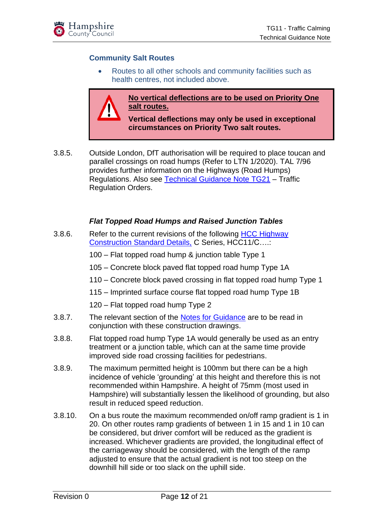

### **Community Salt Routes**

• Routes to all other schools and community facilities such as health centres, not included above.

**No vertical deflections are to be used on Priority One salt routes.**

**Vertical deflections may only be used in exceptional circumstances on Priority Two salt routes.**

3.8.5. Outside London, DfT authorisation will be required to place toucan and parallel crossings on road humps (Refer to LTN 1/2020). TAL 7/96 provides further information on the Highways (Road Humps) Regulations. Also see [Technical Guidance Note TG21](https://www.hants.gov.uk/transport/developers/technical-guidance) – Traffic Regulation Orders.

### *Flat Topped Road Humps and Raised Junction Tables*

3.8.6. Refer to the current revisions of the following [HCC Highway](https://www.hants.gov.uk/transport/developers/standard-details) [Construction Standard Details,](https://www.hants.gov.uk/transport/developers/standard-details) C Series, HCC11/C….:

100 – Flat topped road hump & junction table Type 1

- 105 Concrete block paved flat topped road hump Type 1A
- 110 Concrete block paved crossing in flat topped road hump Type 1
- 115 Imprinted surface course flat topped road hump Type 1B
- 120 Flat topped road hump Type 2
- 3.8.7. The relevant section of the [Notes for Guidance](https://www.hants.gov.uk/transport/developers/standard-details) are to be read in conjunction with these construction drawings.
- 3.8.8. Flat topped road hump Type 1A would generally be used as an entry treatment or a junction table, which can at the same time provide improved side road crossing facilities for pedestrians.
- 3.8.9. The maximum permitted height is 100mm but there can be a high incidence of vehicle 'grounding' at this height and therefore this is not recommended within Hampshire. A height of 75mm (most used in Hampshire) will substantially lessen the likelihood of grounding, but also result in reduced speed reduction.
- 3.8.10. On a bus route the maximum recommended on/off ramp gradient is 1 in 20. On other routes ramp gradients of between 1 in 15 and 1 in 10 can be considered, but driver comfort will be reduced as the gradient is increased. Whichever gradients are provided, the longitudinal effect of the carriageway should be considered, with the length of the ramp adjusted to ensure that the actual gradient is not too steep on the downhill hill side or too slack on the uphill side.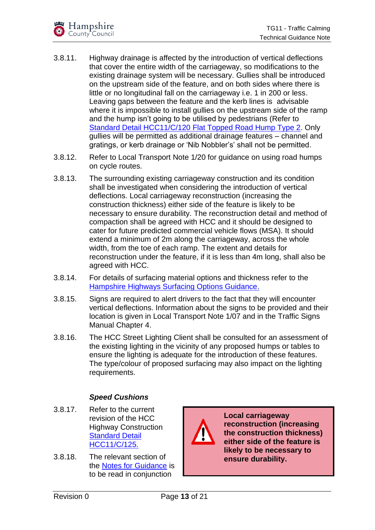- 3.8.11. Highway drainage is affected by the introduction of vertical deflections that cover the entire width of the carriageway, so modifications to the existing drainage system will be necessary. Gullies shall be introduced on the upstream side of the feature, and on both sides where there is little or no longitudinal fall on the carriageway i.e. 1 in 200 or less. Leaving gaps between the feature and the kerb lines is advisable where it is impossible to install gullies on the upstream side of the ramp and the hump isn't going to be utilised by pedestrians (Refer to [Standard Detail HCC11/C/120 Flat Topped Road Hump Type 2.](https://www.hants.gov.uk/transport/developers/standard-details) Only gullies will be permitted as additional drainage features – channel and gratings, or kerb drainage or 'Nib Nobbler's' shall not be permitted.
- 3.8.12. Refer to Local Transport Note 1/20 for guidance on using road humps on cycle routes.
- 3.8.13. The surrounding existing carriageway construction and its condition shall be investigated when considering the introduction of vertical deflections. Local carriageway reconstruction (increasing the construction thickness) either side of the feature is likely to be necessary to ensure durability. The reconstruction detail and method of compaction shall be agreed with HCC and it should be designed to cater for future predicted commercial vehicle flows (MSA). It should extend a minimum of 2m along the carriageway, across the whole width, from the toe of each ramp. The extent and details for reconstruction under the feature, if it is less than 4m long, shall also be agreed with HCC.
- 3.8.14. For details of surfacing material options and thickness refer to the [Hampshire Highways Surfacing Options Guidance.](http://documents.hants.gov.uk/transport/GuidanceDocumentonSurfacingOptions2016Approved.pdf)
- 3.8.15. Signs are required to alert drivers to the fact that they will encounter vertical deflections. Information about the signs to be provided and their location is given in Local Transport Note 1/07 and in the Traffic Signs Manual Chapter 4.
- 3.8.16. The HCC Street Lighting Client shall be consulted for an assessment of the existing lighting in the vicinity of any proposed humps or tables to ensure the lighting is adequate for the introduction of these features. The type/colour of proposed surfacing may also impact on the lighting requirements.

### *Speed Cushions*

- 3.8.17. Refer to the current revision of the HCC Highway Construction [Standard Detail](https://www.hants.gov.uk/transport/developers/standard-details)  [HCC11/C/125.](https://www.hants.gov.uk/transport/developers/standard-details)
- 3.8.18. The relevant section of the [Notes for Guidance](https://www.hants.gov.uk/transport/developers/standard-details) is to be read in conjunction



**Local carriageway reconstruction (increasing the construction thickness) either side of the feature is likely to be necessary to ensure durability.**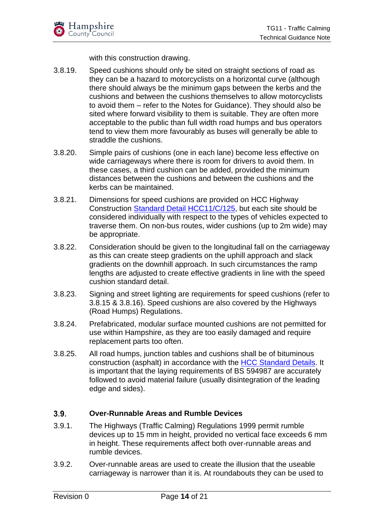with this construction drawing.

- 3.8.19. Speed cushions should only be sited on straight sections of road as they can be a hazard to motorcyclists on a horizontal curve (although there should always be the minimum gaps between the kerbs and the cushions and between the cushions themselves to allow motorcyclists to avoid them – refer to the Notes for Guidance). They should also be sited where forward visibility to them is suitable. They are often more acceptable to the public than full width road humps and bus operators tend to view them more favourably as buses will generally be able to straddle the cushions.
- 3.8.20. Simple pairs of cushions (one in each lane) become less effective on wide carriageways where there is room for drivers to avoid them. In these cases, a third cushion can be added, provided the minimum distances between the cushions and between the cushions and the kerbs can be maintained.
- 3.8.21. Dimensions for speed cushions are provided on HCC Highway Construction [Standard Detail HCC11/C/125,](https://www.hants.gov.uk/transport/developers/standard-details) but each site should be considered individually with respect to the types of vehicles expected to traverse them. On non-bus routes, wider cushions (up to 2m wide) may be appropriate.
- 3.8.22. Consideration should be given to the longitudinal fall on the carriageway as this can create steep gradients on the uphill approach and slack gradients on the downhill approach. In such circumstances the ramp lengths are adjusted to create effective gradients in line with the speed cushion standard detail.
- 3.8.23. Signing and street lighting are requirements for speed cushions (refer to 3.8.15 & 3.8.16). Speed cushions are also covered by the Highways (Road Humps) Regulations.
- 3.8.24. Prefabricated, modular surface mounted cushions are not permitted for use within Hampshire, as they are too easily damaged and require replacement parts too often.
- 3.8.25. All road humps, junction tables and cushions shall be of bituminous construction (asphalt) in accordance with the [HCC Standard](https://www.hants.gov.uk/transport/developers/standard-details) Details. It is important that the laying requirements of BS 594987 are accurately followed to avoid material failure (usually disintegration of the leading edge and sides).

### <span id="page-14-0"></span> $3.9.$ **Over-Runnable Areas and Rumble Devices**

- 3.9.1. The Highways (Traffic Calming) Regulations 1999 permit rumble devices up to 15 mm in height, provided no vertical face exceeds 6 mm in height. These requirements affect both over-runnable areas and rumble devices.
- 3.9.2. Over-runnable areas are used to create the illusion that the useable carriageway is narrower than it is. At roundabouts they can be used to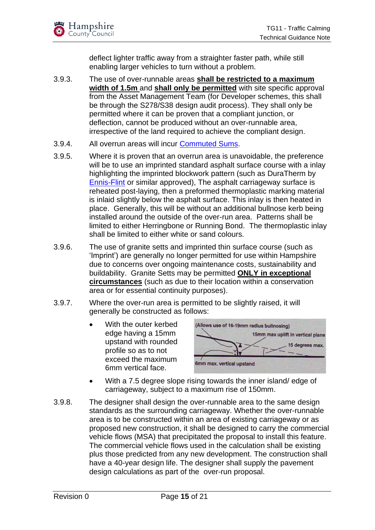deflect lighter traffic away from a straighter faster path, while still enabling larger vehicles to turn without a problem.

- 3.9.3. The use of over-runnable areas **shall be restricted to a maximum width of 1.5m** and **shall only be permitted** with site specific approval from the Asset Management Team (for Developer schemes, this shall be through the S278/S38 design audit process). They shall only be permitted where it can be proven that a compliant junction, or deflection, cannot be produced without an over-runnable area, irrespective of the land required to achieve the compliant design.
- 3.9.4. All overrun areas will incur [Commuted Sums.](https://www.hants.gov.uk/transport/developers/commuted-sums)
- 3.9.5. Where it is proven that an overrun area is unavoidable, the preference will be to use an imprinted standard asphalt surface course with a inlay highlighting the imprinted blockwork pattern (such as DuraTherm by [Ennis-Flint](mailto:%20info@ennisflint.com) or similar approved), The asphalt carriageway surface is reheated post-laying, then a preformed thermoplastic marking material is inlaid slightly below the asphalt surface. This inlay is then heated in place. Generally, this will be without an additional bullnose kerb being installed around the outside of the over-run area. Patterns shall be limited to either Herringbone or Running Bond. The thermoplastic inlay shall be limited to either white or sand colours.
- 3.9.6. The use of granite setts and imprinted thin surface course (such as 'Imprint') are generally no longer permitted for use within Hampshire due to concerns over ongoing maintenance costs, sustainability and buildability. Granite Setts may be permitted **ONLY in exceptional circumstances** (such as due to their location within a conservation area or for essential continuity purposes).
- 3.9.7. Where the over-run area is permitted to be slightly raised, it will generally be constructed as follows:
	- With the outer kerbed edge having a 15mm upstand with rounded profile so as to not exceed the maximum 6mm vertical face.



- With a 7.5 degree slope rising towards the inner island/edge of carriageway, subject to a maximum rise of 150mm.
- 3.9.8. The designer shall design the over-runnable area to the same design standards as the surrounding carriageway. Whether the over-runnable area is to be constructed within an area of existing carriageway or as proposed new construction, it shall be designed to carry the commercial vehicle flows (MSA) that precipitated the proposal to install this feature. The commercial vehicle flows used in the calculation shall be existing plus those predicted from any new development. The construction shall have a 40-year design life. The designer shall supply the pavement design calculations as part of the over-run proposal.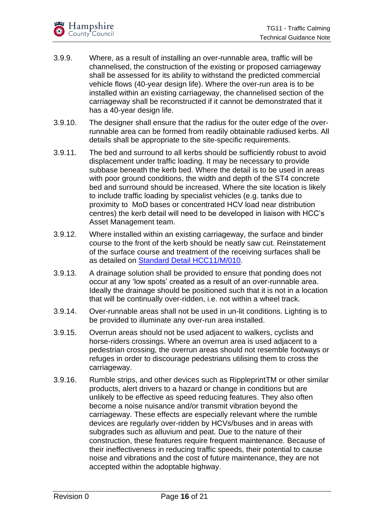- 3.9.9. Where, as a result of installing an over-runnable area, traffic will be channelised, the construction of the existing or proposed carriageway shall be assessed for its ability to withstand the predicted commercial vehicle flows (40-year design life). Where the over-run area is to be installed within an existing carriageway, the channelised section of the carriageway shall be reconstructed if it cannot be demonstrated that it has a 40-year design life.
- 3.9.10. The designer shall ensure that the radius for the outer edge of the overrunnable area can be formed from readily obtainable radiused kerbs. All details shall be appropriate to the site-specific requirements.
- 3.9.11. The bed and surround to all kerbs should be sufficiently robust to avoid displacement under traffic loading. It may be necessary to provide subbase beneath the kerb bed. Where the detail is to be used in areas with poor ground conditions, the width and depth of the ST4 concrete bed and surround should be increased. Where the site location is likely to include traffic loading by specialist vehicles (e.g. tanks due to proximity to MoD bases or concentrated HCV load near distribution centres) the kerb detail will need to be developed in liaison with HCC's Asset Management team.
- 3.9.12. Where installed within an existing carriageway, the surface and binder course to the front of the kerb should be neatly saw cut. Reinstatement of the surface course and treatment of the receiving surfaces shall be as detailed on [Standard Detail HCC11/M/010.](https://www.hants.gov.uk/transport/developers/standard-details)
- 3.9.13. A drainage solution shall be provided to ensure that ponding does not occur at any 'low spots' created as a result of an over-runnable area. Ideally the drainage should be positioned such that it is not in a location that will be continually over-ridden, i.e. not within a wheel track.
- 3.9.14. Over-runnable areas shall not be used in un-lit conditions. Lighting is to be provided to illuminate any over-run area installed.
- 3.9.15. Overrun areas should not be used adjacent to walkers, cyclists and horse-riders crossings. Where an overrun area is used adjacent to a pedestrian crossing, the overrun areas should not resemble footways or refuges in order to discourage pedestrians utilising them to cross the carriageway.
- 3.9.16. Rumble strips, and other devices such as RippleprintTM or other similar products, alert drivers to a hazard or change in conditions but are unlikely to be effective as speed reducing features. They also often become a noise nuisance and/or transmit vibration beyond the carriageway. These effects are especially relevant where the rumble devices are regularly over-ridden by HCVs/buses and in areas with subgrades such as alluvium and peat. Due to the nature of their construction, these features require frequent maintenance. Because of their ineffectiveness in reducing traffic speeds, their potential to cause noise and vibrations and the cost of future maintenance, they are not accepted within the adoptable highway.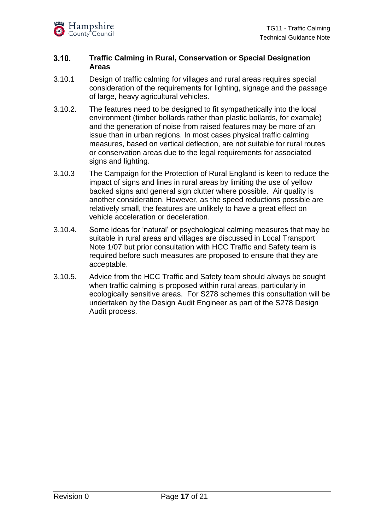### <span id="page-17-0"></span> $3.10.$ **Traffic Calming in Rural, Conservation or Special Designation Areas**

- 3.10.1 Design of traffic calming for villages and rural areas requires special consideration of the requirements for lighting, signage and the passage of large, heavy agricultural vehicles.
- 3.10.2. The features need to be designed to fit sympathetically into the local environment (timber bollards rather than plastic bollards, for example) and the generation of noise from raised features may be more of an issue than in urban regions. In most cases physical traffic calming measures, based on vertical deflection, are not suitable for rural routes or conservation areas due to the legal requirements for associated signs and lighting.
- 3.10.3 The Campaign for the Protection of Rural England is keen to reduce the impact of signs and lines in rural areas by limiting the use of yellow backed signs and general sign clutter where possible. Air quality is another consideration. However, as the speed reductions possible are relatively small, the features are unlikely to have a great effect on vehicle acceleration or deceleration.
- 3.10.4. Some ideas for 'natural' or psychological calming measures that may be suitable in rural areas and villages are discussed in Local Transport Note 1/07 but prior consultation with HCC Traffic and Safety team is required before such measures are proposed to ensure that they are acceptable.
- 3.10.5. Advice from the HCC Traffic and Safety team should always be sought when traffic calming is proposed within rural areas, particularly in ecologically sensitive areas. For S278 schemes this consultation will be undertaken by the Design Audit Engineer as part of the S278 Design Audit process.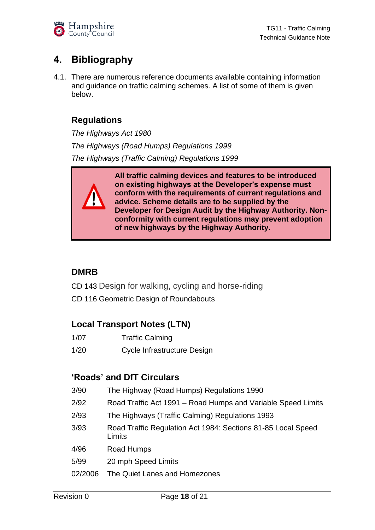# <span id="page-18-0"></span>**4. Bibliography**

4.1. There are numerous reference documents available containing information and guidance on traffic calming schemes. A list of some of them is given below.

# **Regulations**

*The Highways Act 1980 The Highways (Road Humps) Regulations 1999 The Highways (Traffic Calming) Regulations 1999*



# **DMRB**

- CD 143 Design for walking, cycling and horse-riding
- CD 116 Geometric Design of Roundabouts

# **Local Transport Notes (LTN)**

- 1/07 Traffic Calming
- 1/20 Cycle Infrastructure Design

## **'Roads' and DfT Circulars**

- 3/90 The Highway (Road Humps) Regulations 1990
- 2/92 Road Traffic Act 1991 Road Humps and Variable Speed Limits
- 2/93 The Highways (Traffic Calming) Regulations 1993
- 3/93 Road Traffic Regulation Act 1984: Sections 81-85 Local Speed Limits
- 4/96 Road Humps
- 5/99 20 mph Speed Limits
- 02/2006 The Quiet Lanes and Homezones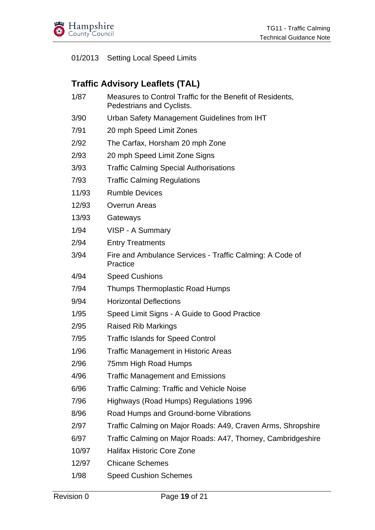

### 01/2013 Setting Local Speed Limits

## **Traffic Advisory Leaflets (TAL)**

- 1/87 Measures to Control Traffic for the Benefit of Residents, Pedestrians and Cyclists.
- 3/90 Urban Safety Management Guidelines from IHT
- 7/91 20 mph Speed Limit Zones
- 2/92 The Carfax, Horsham 20 mph Zone
- 2/93 20 mph Speed Limit Zone Signs
- 3/93 Traffic Calming Special Authorisations
- 7/93 Traffic Calming Regulations
- 11/93 Rumble Devices
- 12/93 Overrun Areas
- 13/93 Gateways
- 1/94 VISP A Summary
- 2/94 Entry Treatments
- 3/94 Fire and Ambulance Services Traffic Calming: A Code of **Practice**
- 4/94 Speed Cushions
- 7/94 Thumps Thermoplastic Road Humps
- 9/94 Horizontal Deflections
- 1/95 Speed Limit Signs A Guide to Good Practice
- 2/95 Raised Rib Markings
- 7/95 Traffic Islands for Speed Control
- 1/96 Traffic Management in Historic Areas
- 2/96 75mm High Road Humps
- 4/96 Traffic Management and Emissions
- 6/96 Traffic Calming: Traffic and Vehicle Noise
- 7/96 Highways (Road Humps) Regulations 1996
- 8/96 Road Humps and Ground-borne Vibrations
- 2/97 Traffic Calming on Major Roads: A49, Craven Arms, Shropshire
- 6/97 Traffic Calming on Major Roads: A47, Thorney, Cambridgeshire
- 10/97 Halifax Historic Core Zone
- 12/97 Chicane Schemes
- 1/98 Speed Cushion Schemes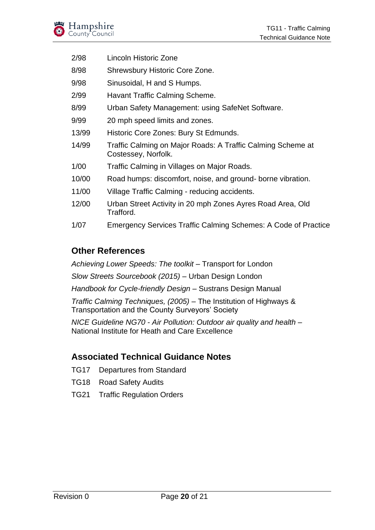- 2/98 Lincoln Historic Zone
- 8/98 Shrewsbury Historic Core Zone.
- 9/98 Sinusoidal, H and S Humps.
- 2/99 Havant Traffic Calming Scheme.
- 8/99 Urban Safety Management: using SafeNet Software.
- 9/99 20 mph speed limits and zones.
- 13/99 Historic Core Zones: Bury St Edmunds.
- 14/99 Traffic Calming on Major Roads: A Traffic Calming Scheme at Costessey, Norfolk.
- 1/00 Traffic Calming in Villages on Major Roads.
- 10/00 Road humps: discomfort, noise, and ground- borne vibration.
- 11/00 Village Traffic Calming reducing accidents.
- 12/00 Urban Street Activity in 20 mph Zones Ayres Road Area, Old Trafford.
- 1/07 Emergency Services Traffic Calming Schemes: A Code of Practice

# **Other References**

*Achieving Lower Speeds: The toolkit –* Transport for London

*Slow Streets Sourcebook (2015) –* Urban Design London

*Handbook for Cycle-friendly Design* – Sustrans Design Manual

*Traffic Calming Techniques, (2005)* – The Institution of Highways & Transportation and the County Surveyors' Society

*NICE Guideline NG70 - Air Pollution: Outdoor air quality and health* – National Institute for Heath and Care Excellence

# **Associated Technical Guidance Notes**

- TG17 Departures from Standard
- TG18 Road Safety Audits
- TG21 Traffic Regulation Orders